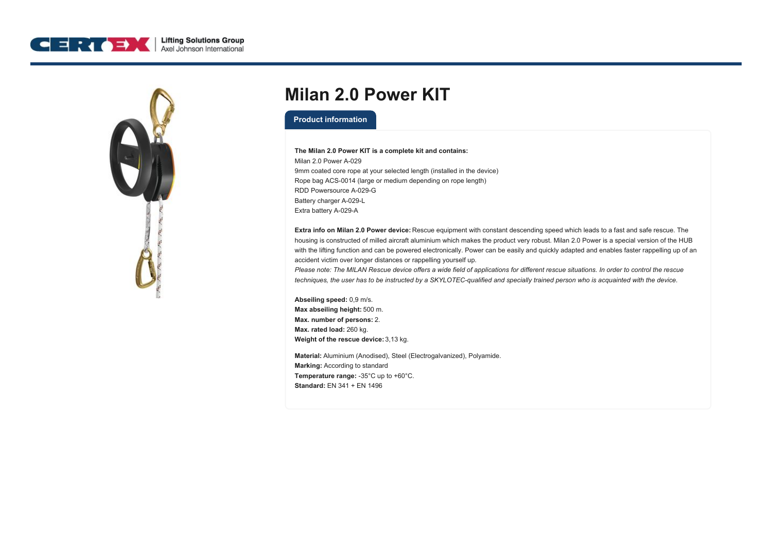



## **Milan 2.0 Power KIT**

## **Product information**

## **The Milan 2.0 Power KIT is a complete kit and contains:**

Milan 2.0 Power A-029 9mm coated core rope at your selected length (installed in the device) Rope bag ACS-0014 (large or medium depending on rope length) RDD Powersource A-029-G Battery charger A-029-L Extra battery A-029-A

**Extra info on Milan 2.0 Power device:** Rescue equipment with constant descending speed which leads to a fast and safe rescue. The housing is constructed of milled aircraft aluminium which makes the product very robust. Milan 2.0 Power is a special version of the HUB with the lifting function and can be powered electronically. Power can be easily and quickly adapted and enables faster rappelling up of an accident victim over longer distances or rappelling yourself up.

Please note: The MILAN Rescue device offers a wide field of applications for different rescue situations. In order to control the rescue techniques, the user has to be instructed by a SKYLOTEC-qualified and specially trained person who is acquainted with the device.

**Abseiling speed:** 0,9 m/s. **Max abseiling height:** 500 m. **Max. number of persons:** 2. **Max. rated load:** 260 kg. **Weight of the rescue device:** 3,13 kg.

**Material:** Aluminium (Anodised), Steel (Electrogalvanized), Polyamide. **Marking:** According to standard **Temperature range:** -35°C up to +60°C. **Standard:** EN 341 + EN 1496